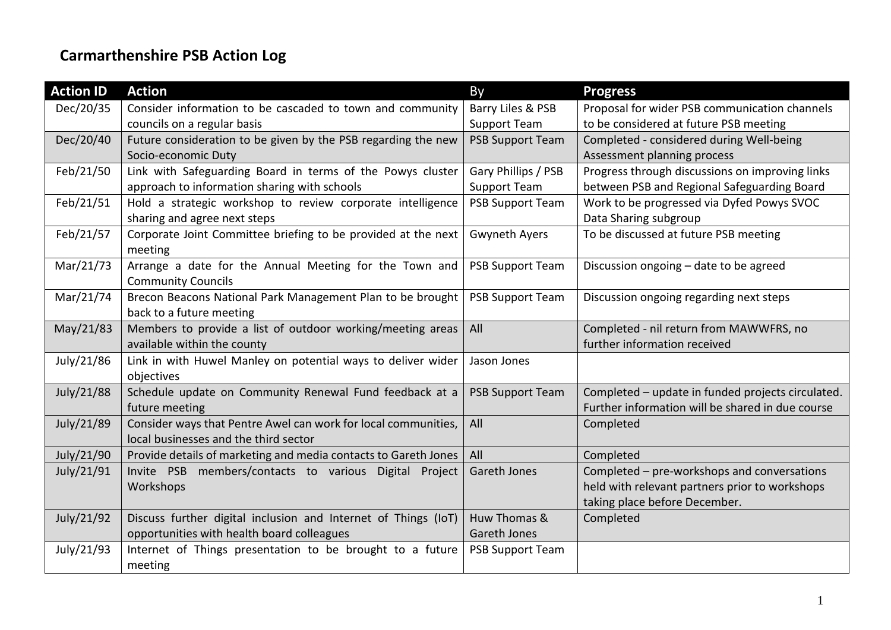## **Carmarthenshire PSB Action Log**

| <b>Action ID</b> | <b>Action</b>                                                            | By                      | <b>Progress</b>                                   |
|------------------|--------------------------------------------------------------------------|-------------------------|---------------------------------------------------|
| Dec/20/35        | Consider information to be cascaded to town and community                | Barry Liles & PSB       | Proposal for wider PSB communication channels     |
|                  | councils on a regular basis                                              | <b>Support Team</b>     | to be considered at future PSB meeting            |
| Dec/20/40        | Future consideration to be given by the PSB regarding the new            | <b>PSB Support Team</b> | Completed - considered during Well-being          |
|                  | Socio-economic Duty                                                      |                         | Assessment planning process                       |
| Feb/21/50        | Link with Safeguarding Board in terms of the Powys cluster               | Gary Phillips / PSB     | Progress through discussions on improving links   |
|                  | approach to information sharing with schools                             | <b>Support Team</b>     | between PSB and Regional Safeguarding Board       |
| Feb/21/51        | Hold a strategic workshop to review corporate intelligence               | <b>PSB Support Team</b> | Work to be progressed via Dyfed Powys SVOC        |
|                  | sharing and agree next steps                                             |                         | Data Sharing subgroup                             |
| Feb/21/57        | Corporate Joint Committee briefing to be provided at the next<br>meeting | <b>Gwyneth Ayers</b>    | To be discussed at future PSB meeting             |
| Mar/21/73        | Arrange a date for the Annual Meeting for the Town and                   | <b>PSB Support Team</b> | Discussion ongoing - date to be agreed            |
|                  | <b>Community Councils</b>                                                |                         |                                                   |
| Mar/21/74        | Brecon Beacons National Park Management Plan to be brought               | <b>PSB Support Team</b> | Discussion ongoing regarding next steps           |
|                  | back to a future meeting                                                 |                         |                                                   |
| May/21/83        | Members to provide a list of outdoor working/meeting areas               | All                     | Completed - nil return from MAWWFRS, no           |
|                  | available within the county                                              |                         | further information received                      |
| July/21/86       | Link in with Huwel Manley on potential ways to deliver wider             | Jason Jones             |                                                   |
|                  | objectives                                                               |                         |                                                   |
| July/21/88       | Schedule update on Community Renewal Fund feedback at a                  | <b>PSB Support Team</b> | Completed - update in funded projects circulated. |
|                  | future meeting                                                           |                         | Further information will be shared in due course  |
| July/21/89       | Consider ways that Pentre Awel can work for local communities,           | All                     | Completed                                         |
|                  | local businesses and the third sector                                    |                         |                                                   |
| July/21/90       | Provide details of marketing and media contacts to Gareth Jones          | All                     | Completed                                         |
| July/21/91       | Invite PSB members/contacts to various Digital Project                   | <b>Gareth Jones</b>     | Completed - pre-workshops and conversations       |
|                  | Workshops                                                                |                         | held with relevant partners prior to workshops    |
|                  |                                                                          |                         | taking place before December.                     |
| July/21/92       | Discuss further digital inclusion and Internet of Things (IoT)           | Huw Thomas &            | Completed                                         |
|                  | opportunities with health board colleagues                               | Gareth Jones            |                                                   |
| July/21/93       | Internet of Things presentation to be brought to a future                | <b>PSB Support Team</b> |                                                   |
|                  | meeting                                                                  |                         |                                                   |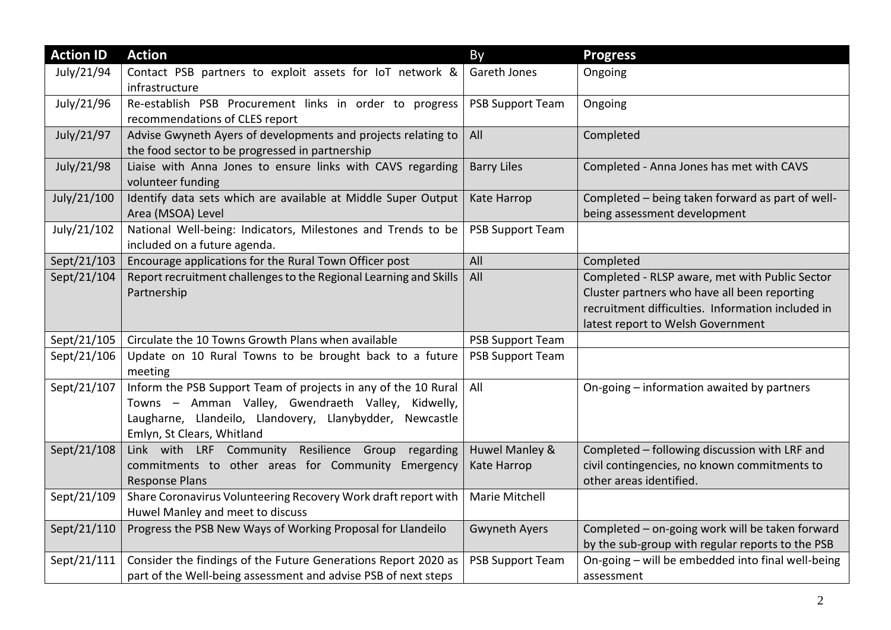| <b>Action ID</b> | <b>Action</b>                                                     | <b>By</b>               | <b>Progress</b>                                   |
|------------------|-------------------------------------------------------------------|-------------------------|---------------------------------------------------|
| July/21/94       | Contact PSB partners to exploit assets for IoT network &          | Gareth Jones            | Ongoing                                           |
|                  | infrastructure                                                    |                         |                                                   |
| July/21/96       | Re-establish PSB Procurement links in order to progress           | <b>PSB Support Team</b> | Ongoing                                           |
|                  | recommendations of CLES report                                    |                         |                                                   |
| July/21/97       | Advise Gwyneth Ayers of developments and projects relating to     | All                     | Completed                                         |
|                  | the food sector to be progressed in partnership                   |                         |                                                   |
| July/21/98       | Liaise with Anna Jones to ensure links with CAVS regarding        | <b>Barry Liles</b>      | Completed - Anna Jones has met with CAVS          |
|                  | volunteer funding                                                 |                         |                                                   |
| July/21/100      | Identify data sets which are available at Middle Super Output     | Kate Harrop             | Completed - being taken forward as part of well-  |
|                  | Area (MSOA) Level                                                 |                         | being assessment development                      |
| July/21/102      | National Well-being: Indicators, Milestones and Trends to be      | <b>PSB Support Team</b> |                                                   |
|                  | included on a future agenda.                                      |                         |                                                   |
| Sept/21/103      | Encourage applications for the Rural Town Officer post            | All                     | Completed                                         |
| Sept/21/104      | Report recruitment challenges to the Regional Learning and Skills | All                     | Completed - RLSP aware, met with Public Sector    |
|                  | Partnership                                                       |                         | Cluster partners who have all been reporting      |
|                  |                                                                   |                         | recruitment difficulties. Information included in |
|                  |                                                                   |                         | latest report to Welsh Government                 |
| Sept/21/105      | Circulate the 10 Towns Growth Plans when available                | <b>PSB Support Team</b> |                                                   |
| Sept/21/106      | Update on 10 Rural Towns to be brought back to a future           | <b>PSB Support Team</b> |                                                   |
|                  | meeting                                                           |                         |                                                   |
| Sept/21/107      | Inform the PSB Support Team of projects in any of the 10 Rural    | All                     | On-going - information awaited by partners        |
|                  | Towns - Amman Valley, Gwendraeth Valley, Kidwelly,                |                         |                                                   |
|                  | Laugharne, Llandeilo, Llandovery, Llanybydder, Newcastle          |                         |                                                   |
|                  | Emlyn, St Clears, Whitland                                        |                         |                                                   |
| Sept/21/108      | Resilience Group<br>Link with LRF Community<br>regarding          | Huwel Manley &          | Completed - following discussion with LRF and     |
|                  | commitments to other areas for Community Emergency                | Kate Harrop             | civil contingencies, no known commitments to      |
|                  | <b>Response Plans</b>                                             |                         | other areas identified.                           |
| Sept/21/109      | Share Coronavirus Volunteering Recovery Work draft report with    | Marie Mitchell          |                                                   |
|                  | Huwel Manley and meet to discuss                                  |                         |                                                   |
| Sept/21/110      | Progress the PSB New Ways of Working Proposal for Llandeilo       | <b>Gwyneth Ayers</b>    | Completed - on-going work will be taken forward   |
|                  |                                                                   |                         | by the sub-group with regular reports to the PSB  |
| Sept/21/111      | Consider the findings of the Future Generations Report 2020 as    | <b>PSB Support Team</b> | On-going - will be embedded into final well-being |
|                  | part of the Well-being assessment and advise PSB of next steps    |                         | assessment                                        |